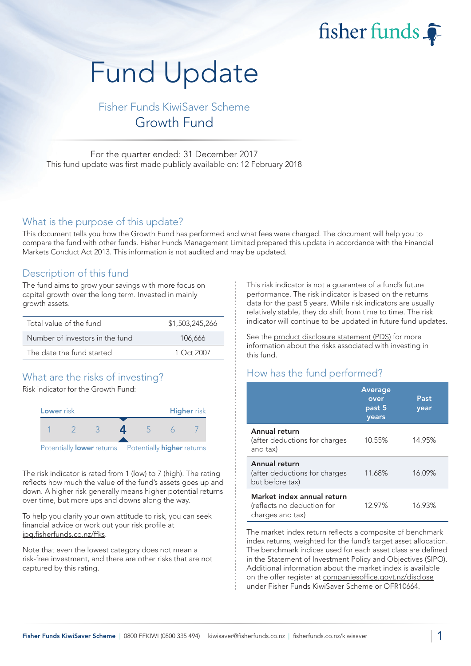fisher funds  $\widehat{\bullet}$ 

# Fund Update

Fisher Funds KiwiSaver Scheme Growth Fund

For the quarter ended: 31 December 2017 This fund update was first made publicly available on: 12 February 2018

## What is the purpose of this update?

This document tells you how the Growth Fund has performed and what fees were charged. The document will help you to compare the fund with other funds. Fisher Funds Management Limited prepared this update in accordance with the Financial Markets Conduct Act 2013. This information is not audited and may be updated.

## Description of this fund

The fund aims to grow your savings with more focus on capital growth over the long term. Invested in mainly growth assets.

| Total value of the fund         | \$1,503,245,266 |
|---------------------------------|-----------------|
| Number of investors in the fund | 106,666         |
| The date the fund started       | $1$ Oct 2007    |

# What are the risks of investing?

Risk indicator for the Growth Fund:



The risk indicator is rated from 1 (low) to 7 (high). The rating reflects how much the value of the fund's assets goes up and down. A higher risk generally means higher potential returns over time, but more ups and downs along the way.

To help you clarify your own attitude to risk, you can seek financial advice or work out your risk profile at ipq.fisherfunds.co.nz/ffks.

Note that even the lowest category does not mean a risk-free investment, and there are other risks that are not captured by this rating.

This risk indicator is not a guarantee of a fund's future performance. The risk indicator is based on the returns data for the past 5 years. While risk indicators are usually relatively stable, they do shift from time to time. The risk indicator will continue to be updated in future fund updates.

See the product disclosure statement (PDS) for more information about the risks associated with investing in this fund.

# How has the fund performed?

|                                                                              | <b>Average</b><br>over<br>past 5<br>years | Past<br>year |
|------------------------------------------------------------------------------|-------------------------------------------|--------------|
| Annual return<br>(after deductions for charges<br>and tax)                   | 10.55%                                    | 14.95%       |
| Annual return<br>(after deductions for charges<br>but before tax)            | 11.68%                                    | 16.09%       |
| Market index annual return<br>(reflects no deduction for<br>charges and tax) | 12.97%                                    | 16.93%       |

The market index return reflects a composite of benchmark index returns, weighted for the fund's target asset allocation. The benchmark indices used for each asset class are defined in the Statement of Investment Policy and Objectives (SIPO). Additional information about the market index is available on the offer register at companiesoffice.govt.nz/disclose under Fisher Funds KiwiSaver Scheme or OFR10664.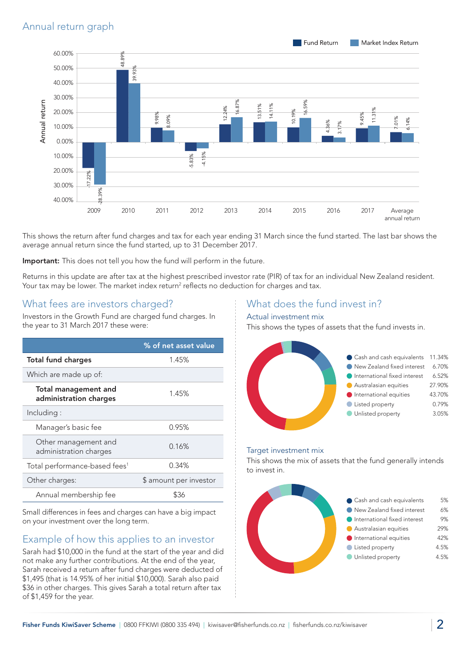

This shows the return after fund charges and tax for each year ending 31 March since the fund started. The last bar shows the average annual return since the fund started, up to 31 December 2017.

Important: This does not tell you how the fund will perform in the future.

Returns in this update are after tax at the highest prescribed investor rate (PIR) of tax for an individual New Zealand resident. Your tax may be lower. The market index return<sup>2</sup> reflects no deduction for charges and tax.

## What fees are investors charged?

Investors in the Growth Fund are charged fund charges. In the year to 31 March 2017 these were:

|                                                       | % of net asset value   |  |
|-------------------------------------------------------|------------------------|--|
| <b>Total fund charges</b>                             | 1.45%                  |  |
| Which are made up of:                                 |                        |  |
| <b>Total management and</b><br>administration charges | 1.45%                  |  |
| Including:                                            |                        |  |
| Manager's basic fee                                   | 0.95%                  |  |
| Other management and<br>administration charges        | 0.16%                  |  |
| Total performance-based fees <sup>1</sup>             | 0.34%                  |  |
| Other charges:                                        | \$ amount per investor |  |
| Annual membership fee                                 | \$36                   |  |

Small differences in fees and charges can have a big impact on your investment over the long term.

# Example of how this applies to an investor

Sarah had \$10,000 in the fund at the start of the year and did not make any further contributions. At the end of the year, Sarah received a return after fund charges were deducted of \$1,495 (that is 14.95% of her initial \$10,000). Sarah also paid \$36 in other charges. This gives Sarah a total return after tax of \$1,459 for the year.

## What does the fund invest in?

#### Actual investment mix

This shows the types of assets that the fund invests in.



#### Target investment mix

This shows the mix of assets that the fund generally intends to invest in.